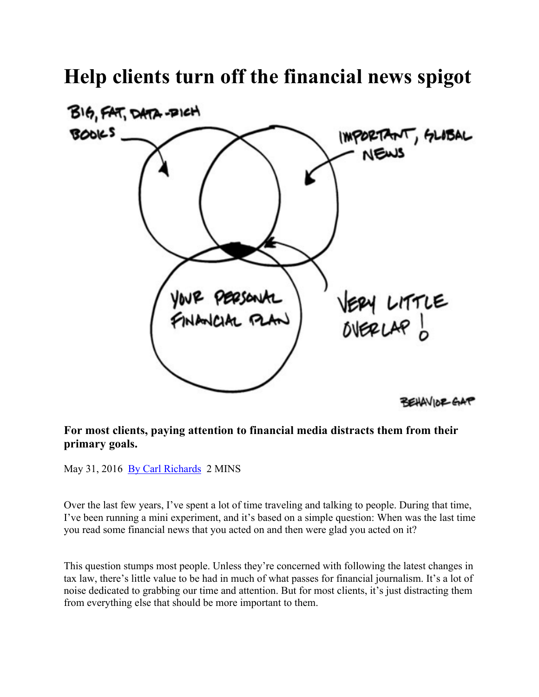## **Help clients turn off the financial news spigot**



## **For most clients, paying attention to financial media distracts them from their primary goals.**

May 31, 2016 By Carl Richards 2 MINS

Over the last few years, I've spent a lot of time traveling and talking to people. During that time, I've been running a mini experiment, and it's based on a simple question: When was the last time you read some financial news that you acted on and then were glad you acted on it?

This question stumps most people. Unless they're concerned with following the latest changes in tax law, there's little value to be had in much of what passes for financial journalism. It's a lot of noise dedicated to grabbing our time and attention. But for most clients, it's just distracting them from everything else that should be more important to them.